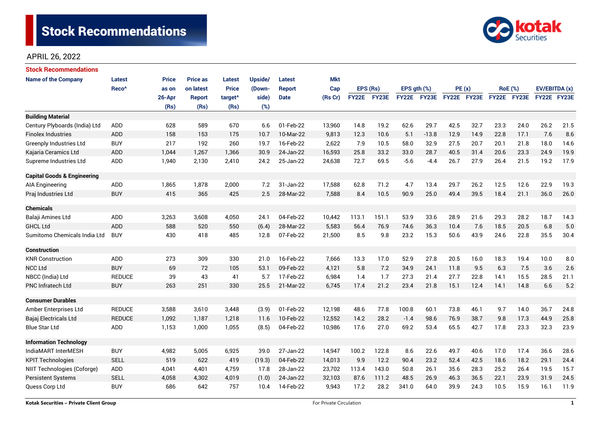

| Stock Recommendations                  |                   |              |                 |                     |         |               |            |              |       |              |         |             |      |                |      |               |      |
|----------------------------------------|-------------------|--------------|-----------------|---------------------|---------|---------------|------------|--------------|-------|--------------|---------|-------------|------|----------------|------|---------------|------|
| <b>Name of the Company</b>             | <b>Latest</b>     | <b>Price</b> | <b>Price as</b> | <b>Latest</b>       | Upside/ | Latest        | <b>Mkt</b> |              |       |              |         |             |      |                |      |               |      |
|                                        | Reco <sup>^</sup> | as on        | on latest       | <b>Price</b>        | (Down-  | <b>Report</b> | Cap        | EPS (Rs)     |       | EPS gth (%)  |         | PE(x)       |      | <b>RoE</b> (%) |      | EV/EBITDA (x) |      |
|                                        |                   | 26-Apr       | <b>Report</b>   | target <sup>^</sup> | side)   | <b>Date</b>   | (Rs Cr)    | <b>FY22E</b> | FY23E | <b>FY22E</b> | FY23E   | FY22E FY23E |      | FY22E FY23E    |      | FY22E FY23E   |      |
|                                        |                   | (Rs)         | (Rs)            | (Rs)                | (%)     |               |            |              |       |              |         |             |      |                |      |               |      |
| <b>Building Material</b>               |                   |              |                 |                     |         |               |            |              |       |              |         |             |      |                |      |               |      |
| Century Plyboards (India) Ltd          | <b>ADD</b>        | 628          | 589             | 670                 | 6.6     | 01-Feb-22     | 13,960     | 14.8         | 19.2  | 62.6         | 29.7    | 42.5        | 32.7 | 23.3           | 24.0 | 26.2          | 21.5 |
| <b>Finolex Industries</b>              | <b>ADD</b>        | 158          | 153             | 175                 | 10.7    | 10-Mar-22     | 9,813      | 12.3         | 10.6  | 5.1          | $-13.8$ | 12.9        | 14.9 | 22.8           | 17.1 | 7.6           | 8.6  |
| <b>Greenply Industries Ltd</b>         | <b>BUY</b>        | 217          | 192             | 260                 | 19.7    | 16-Feb-22     | 2,622      | 7.9          | 10.5  | 58.0         | 32.9    | 27.5        | 20.7 | 20.1           | 21.8 | 18.0          | 14.6 |
| Kajaria Ceramics Ltd                   | <b>ADD</b>        | 1,044        | 1,267           | 1,366               | 30.9    | 24-Jan-22     | 16,593     | 25.8         | 33.2  | 33.0         | 28.7    | 40.5        | 31.4 | 20.6           | 23.3 | 24.9          | 19.9 |
| Supreme Industries Ltd                 | ADD               | 1,940        | 2,130           | 2,410               | 24.2    | 25-Jan-22     | 24,638     | 72.7         | 69.5  | $-5.6$       | $-4.4$  | 26.7        | 27.9 | 26.4           | 21.5 | 19.2          | 17.9 |
| <b>Capital Goods &amp; Engineering</b> |                   |              |                 |                     |         |               |            |              |       |              |         |             |      |                |      |               |      |
| <b>AIA Engineering</b>                 | ADD               | 1,865        | 1,878           | 2,000               | 7.2     | 31-Jan-22     | 17,588     | 62.8         | 71.2  | 4.7          | 13.4    | 29.7        | 26.2 | 12.5           | 12.6 | 22.9          | 19.3 |
| Praj Industries Ltd                    | <b>BUY</b>        | 415          | 365             | 425                 | 2.5     | 28-Mar-22     | 7,588      | 8.4          | 10.5  | 90.9         | 25.0    | 49.4        | 39.5 | 18.4           | 21.1 | 36.0          | 26.0 |
|                                        |                   |              |                 |                     |         |               |            |              |       |              |         |             |      |                |      |               |      |
| <b>Chemicals</b>                       |                   |              |                 |                     |         |               |            |              |       |              |         |             |      |                |      |               |      |
| Balaji Amines Ltd                      | ADD               | 3,263        | 3,608           | 4,050               | 24.1    | 04-Feb-22     | 10,442     | 113.1        | 151.1 | 53.9         | 33.6    | 28.9        | 21.6 | 29.3           | 28.2 | 18.7          | 14.3 |
| <b>GHCL Ltd</b>                        | ADD               | 588          | 520             | 550                 | (6.4)   | 28-Mar-22     | 5,583      | 56.4         | 76.9  | 74.6         | 36.3    | 10.4        | 7.6  | 18.5           | 20.5 | 6.8           | 5.0  |
| Sumitomo Chemicals India Ltd           | <b>BUY</b>        | 430          | 418             | 485                 | 12.8    | 07-Feb-22     | 21,500     | 8.5          | 9.8   | 23.2         | 15.3    | 50.6        | 43.9 | 24.6           | 22.8 | 35.5          | 30.4 |
| <b>Construction</b>                    |                   |              |                 |                     |         |               |            |              |       |              |         |             |      |                |      |               |      |
| <b>KNR Construction</b>                | <b>ADD</b>        | 273          | 309             | 330                 | 21.0    | 16-Feb-22     | 7,666      | 13.3         | 17.0  | 52.9         | 27.8    | 20.5        | 16.0 | 18.3           | 19.4 | 10.0          | 8.0  |
| <b>NCC Ltd</b>                         | <b>BUY</b>        | 69           | 72              | 105                 | 53.1    | 09-Feb-22     | 4,121      | 5.8          | 7.2   | 34.9         | 24.1    | 11.8        | 9.5  | 6.3            | 7.5  | 3.6           | 2.6  |
| NBCC (India) Ltd                       | <b>REDUCE</b>     | 39           | 43              | 41                  | 5.7     | 17-Feb-22     | 6,984      | 1.4          | 1.7   | 27.3         | 21.4    | 27.7        | 22.8 | 14.1           | 15.5 | 28.5          | 21.1 |
| <b>PNC Infratech Ltd</b>               | <b>BUY</b>        | 263          | 251             | 330                 | 25.5    | 21-Mar-22     | 6,745      | 17.4         | 21.2  | 23.4         | 21.8    | 15.1        | 12.4 | 14.1           | 14.8 | 6.6           | 5.2  |
| <b>Consumer Durables</b>               |                   |              |                 |                     |         |               |            |              |       |              |         |             |      |                |      |               |      |
| Amber Enterprises Ltd                  | <b>REDUCE</b>     | 3,588        | 3,610           | 3,448               | (3.9)   | 01-Feb-22     | 12,198     | 48.6         | 77.8  | 100.8        | 60.1    | 73.8        | 46.1 | 9.7            | 14.0 | 36.7          | 24.8 |
| Bajaj Electricals Ltd                  | <b>REDUCE</b>     | 1,092        | 1,187           | 1,218               | 11.6    | 10-Feb-22     | 12,552     | 14.2         | 28.2  | $-1.4$       | 98.6    | 76.9        | 38.7 | 9.8            | 17.3 | 44.9          | 25.8 |
| <b>Blue Star Ltd</b>                   | ADD               | 1,153        | 1,000           | 1,055               | (8.5)   | 04-Feb-22     | 10,986     | 17.6         | 27.0  | 69.2         | 53.4    | 65.5        | 42.7 | 17.8           | 23.3 | 32.3          | 23.9 |
| <b>Information Technology</b>          |                   |              |                 |                     |         |               |            |              |       |              |         |             |      |                |      |               |      |
| IndiaMART InterMESH                    | <b>BUY</b>        | 4,982        | 5,005           | 6,925               | 39.0    | 27-Jan-22     | 14,947     | 100.2        | 122.8 | 8.6          | 22.6    | 49.7        | 40.6 | 17.0           | 17.4 | 36.6          | 28.6 |
| <b>KPIT Technologies</b>               | <b>SELL</b>       | 519          | 622             | 419                 | (19.3)  | 04-Feb-22     | 14,013     | 9.9          | 12.2  | 90.4         | 23.2    | 52.4        | 42.5 | 18.6           | 18.2 | 29.1          | 24.4 |
| NIIT Technologies (Coforge)            | ADD               | 4,041        | 4,401           | 4,759               | 17.8    | 28-Jan-22     | 23,702     | 113.4        | 143.0 | 50.8         | 26.1    | 35.6        | 28.3 | 25.2           | 26.4 | 19.5          | 15.7 |
| <b>Persistent Systems</b>              | <b>SELL</b>       | 4,058        | 4,302           | 4,019               | (1.0)   | 24-Jan-22     | 32,103     | 87.6         | 111.2 | 48.5         | 26.9    | 46.3        | 36.5 | 22.1           | 23.9 | 31.9          | 24.5 |
| Quess Corp Ltd                         | <b>BUY</b>        | 686          | 642             | 757                 | 10.4    | 14-Feb-22     | 9,943      | 17.2         | 28.2  | 341.0        | 64.0    | 39.9        | 24.3 | 10.5           | 15.9 | 16.1          | 11.9 |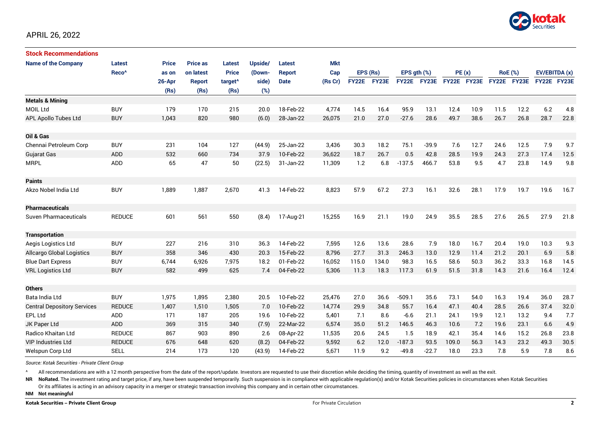

| <b>Stock Recommendations</b>       |                   |              |                 |                     |         |               |            |              |       |                  |         |             |      |                |             |               |      |
|------------------------------------|-------------------|--------------|-----------------|---------------------|---------|---------------|------------|--------------|-------|------------------|---------|-------------|------|----------------|-------------|---------------|------|
| <b>Name of the Company</b>         | Latest            | <b>Price</b> | <b>Price as</b> | Latest              | Upside/ | Latest        | <b>Mkt</b> |              |       |                  |         |             |      |                |             |               |      |
|                                    | Reco <sup>^</sup> | as on        | on latest       | <b>Price</b>        | (Down-  | <b>Report</b> | Cap        | EPS (Rs)     |       | EPS $qth$ $(\%)$ |         | PE(x)       |      | <b>RoE</b> (%) |             | EV/EBITDA (x) |      |
|                                    |                   | 26-Apr       | <b>Report</b>   | target <sup>^</sup> | side)   | <b>Date</b>   | (Rs Cr)    | <b>FY22E</b> | FY23E | <b>FY22E</b>     | FY23E   | FY22E FY23E |      |                | FY22E FY23E | FY22E FY23E   |      |
|                                    |                   | (Rs)         | (Rs)            | (Rs)                | (%)     |               |            |              |       |                  |         |             |      |                |             |               |      |
| <b>Metals &amp; Mining</b>         |                   |              |                 |                     |         |               |            |              |       |                  |         |             |      |                |             |               |      |
| MOIL Ltd                           | <b>BUY</b>        | 179          | 170             | 215                 | 20.0    | 18-Feb-22     | 4,774      | 14.5         | 16.4  | 95.9             | 13.1    | 12.4        | 10.9 | 11.5           | 12.2        | $6.2\,$       | 4.8  |
| APL Apollo Tubes Ltd               | <b>BUY</b>        | 1,043        | 820             | 980                 | (6.0)   | 28-Jan-22     | 26,075     | 21.0         | 27.0  | $-27.6$          | 28.6    | 49.7        | 38.6 | 26.7           | 26.8        | 28.7          | 22.8 |
|                                    |                   |              |                 |                     |         |               |            |              |       |                  |         |             |      |                |             |               |      |
| Oil & Gas                          |                   |              |                 |                     |         |               |            |              |       |                  |         |             |      |                |             |               |      |
| Chennai Petroleum Corp             | <b>BUY</b>        | 231          | 104             | 127                 | (44.9)  | 25-Jan-22     | 3,436      | 30.3         | 18.2  | 75.1             | $-39.9$ | 7.6         | 12.7 | 24.6           | 12.5        | 7.9           | 9.7  |
| Gujarat Gas                        | <b>ADD</b>        | 532          | 660             | 734                 | 37.9    | 10-Feb-22     | 36.622     | 18.7         | 26.7  | 0.5              | 42.8    | 28.5        | 19.9 | 24.3           | 27.3        | 17.4          | 12.5 |
| <b>MRPL</b>                        | <b>ADD</b>        | 65           | 47              | 50                  | (22.5)  | 31-Jan-22     | 11,309     | 1.2          | 6.8   | $-137.5$         | 466.7   | 53.8        | 9.5  | 4.7            | 23.8        | 14.9          | 9.8  |
|                                    |                   |              |                 |                     |         |               |            |              |       |                  |         |             |      |                |             |               |      |
| <b>Paints</b>                      |                   |              |                 |                     |         |               |            |              |       |                  |         |             |      |                |             |               |      |
| Akzo Nobel India Ltd               | <b>BUY</b>        | 1,889        | 1,887           | 2,670               | 41.3    | 14-Feb-22     | 8,823      | 57.9         | 67.2  | 27.3             | 16.1    | 32.6        | 28.1 | 17.9           | 19.7        | 19.6          | 16.7 |
|                                    |                   |              |                 |                     |         |               |            |              |       |                  |         |             |      |                |             |               |      |
| <b>Pharmaceuticals</b>             |                   |              |                 |                     |         |               |            |              |       |                  |         |             |      |                |             |               |      |
| Suven Pharmaceuticals              | <b>REDUCE</b>     | 601          | 561             | 550                 | (8.4)   | 17-Aug-21     | 15,255     | 16.9         | 21.1  | 19.0             | 24.9    | 35.5        | 28.5 | 27.6           | 26.5        | 27.9          | 21.8 |
|                                    |                   |              |                 |                     |         |               |            |              |       |                  |         |             |      |                |             |               |      |
| <b>Transportation</b>              |                   |              |                 |                     |         |               |            |              |       |                  |         |             |      |                |             |               |      |
| Aegis Logistics Ltd                | <b>BUY</b>        | 227          | 216             | 310                 | 36.3    | 14-Feb-22     | 7,595      | 12.6         | 13.6  | 28.6             | 7.9     | 18.0        | 16.7 | 20.4           | 19.0        | 10.3          | 9.3  |
| <b>Allcargo Global Logistics</b>   | <b>BUY</b>        | 358          | 346             | 430                 | 20.3    | 15-Feb-22     | 8,796      | 27.7         | 31.3  | 246.3            | 13.0    | 12.9        | 11.4 | 21.2           | 20.1        | 6.9           | 5.8  |
| <b>Blue Dart Express</b>           | <b>BUY</b>        | 6,744        | 6,926           | 7,975               | 18.2    | 01-Feb-22     | 16,052     | 115.0        | 134.0 | 98.3             | 16.5    | 58.6        | 50.3 | 36.2           | 33.3        | 16.8          | 14.5 |
| <b>VRL Logistics Ltd</b>           | <b>BUY</b>        | 582          | 499             | 625                 | 7.4     | 04-Feb-22     | 5,306      | 11.3         | 18.3  | 117.3            | 61.9    | 51.5        | 31.8 | 14.3           | 21.6        | 16.4          | 12.4 |
|                                    |                   |              |                 |                     |         |               |            |              |       |                  |         |             |      |                |             |               |      |
| <b>Others</b>                      |                   |              |                 |                     |         |               |            |              |       |                  |         |             |      |                |             |               |      |
| Bata India Ltd                     | <b>BUY</b>        | 1,975        | 1,895           | 2,380               | 20.5    | 10-Feb-22     | 25,476     | 27.0         | 36.6  | $-509.1$         | 35.6    | 73.1        | 54.0 | 16.3           | 19.4        | 36.0          | 28.7 |
| <b>Central Depository Services</b> | <b>REDUCE</b>     | 1,407        | 1,510           | 1,505               | 7.0     | 10-Feb-22     | 14,774     | 29.9         | 34.8  | 55.7             | 16.4    | 47.1        | 40.4 | 28.5           | 26.6        | 37.4          | 32.0 |
| EPL Ltd                            | ADD               | 171          | 187             | 205                 | 19.6    | 10-Feb-22     | 5,401      | 7.1          | 8.6   | $-6.6$           | 21.1    | 24.1        | 19.9 | 12.1           | 13.2        | 9.4           | 7.7  |
| JK Paper Ltd                       | <b>ADD</b>        | 369          | 315             | 340                 | (7.9)   | 22-Mar-22     | 6,574      | 35.0         | 51.2  | 146.5            | 46.3    | 10.6        | 7.2  | 19.6           | 23.1        | 6.6           | 4.9  |
| Radico Khaitan Ltd                 | <b>REDUCE</b>     | 867          | 903             | 890                 | 2.6     | 08-Apr-22     | 11,535     | 20.6         | 24.5  | 1.5              | 18.9    | 42.1        | 35.4 | 14.6           | 15.2        | 26.8          | 23.8 |
| <b>VIP Industries Ltd</b>          | <b>REDUCE</b>     | 676          | 648             | 620                 | (8.2)   | 04-Feb-22     | 9,592      | 6.2          | 12.0  | $-187.3$         | 93.5    | 109.0       | 56.3 | 14.3           | 23.2        | 49.3          | 30.5 |
| Welspun Corp Ltd                   | <b>SELL</b>       | 214          | 173             | 120                 | (43.9)  | 14-Feb-22     | 5,671      | 11.9         | 9.2   | $-49.8$          | $-22.7$ | 18.0        | 23.3 | 7.8            | 5.9         | 7.8           | 8.6  |

*Source: Kotak Securities - Private Client Group*

All recommendations are with a 12 month perspective from the date of the report/update. Investors are requested to use their discretion while deciding the timing, quantity of investment as well as the exit.

NR NoRated. The investment rating and target price, if any, have been suspended temporarily. Such suspension is in compliance with applicable regulation(s) and/or Kotak Securities policies in circumstances when Kotak Secur

Or its affiliates is acting in an advisory capacity in a merger or strategic transaction involving this company and in certain other circumstances.

**NM Not meaningful**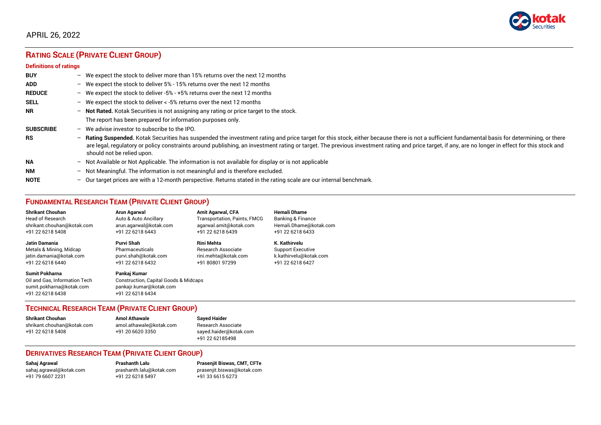

# **RATING SCALE (PRIVATE CLIENT GROUP)**

#### **Definitions of ratings**

| <b>BUY</b>       | $-$ | We expect the stock to deliver more than 15% returns over the next 12 months                                                                                                                                                                                                                                                                                                                                                     |
|------------------|-----|----------------------------------------------------------------------------------------------------------------------------------------------------------------------------------------------------------------------------------------------------------------------------------------------------------------------------------------------------------------------------------------------------------------------------------|
| <b>ADD</b>       |     | - We expect the stock to deliver 5% - 15% returns over the next 12 months                                                                                                                                                                                                                                                                                                                                                        |
| <b>REDUCE</b>    |     | - We expect the stock to deliver -5% - +5% returns over the next 12 months                                                                                                                                                                                                                                                                                                                                                       |
| <b>SELL</b>      | $-$ | We expect the stock to deliver < -5% returns over the next 12 months                                                                                                                                                                                                                                                                                                                                                             |
| <b>NR</b>        |     | - Not Rated. Kotak Securities is not assigning any rating or price target to the stock.                                                                                                                                                                                                                                                                                                                                          |
|                  |     | The report has been prepared for information purposes only.                                                                                                                                                                                                                                                                                                                                                                      |
| <b>SUBSCRIBE</b> | $-$ | We advise investor to subscribe to the IPO.                                                                                                                                                                                                                                                                                                                                                                                      |
| <b>RS</b>        | $-$ | Rating Suspended. Kotak Securities has suspended the investment rating and price target for this stock, either because there is not a sufficient fundamental basis for determining, or there<br>are legal, regulatory or policy constraints around publishing, an investment rating or target. The previous investment rating and price target, if any, are no longer in effect for this stock and<br>should not be relied upon. |
| <b>NA</b>        |     | $-$ Not Available or Not Applicable. The information is not available for display or is not applicable                                                                                                                                                                                                                                                                                                                           |
| <b>NM</b>        |     | - Not Meaningful. The information is not meaningful and is therefore excluded.                                                                                                                                                                                                                                                                                                                                                   |
| <b>NOTE</b>      | -   | Our target prices are with a 12-month perspective. Returns stated in the rating scale are our internal benchmark.                                                                                                                                                                                                                                                                                                                |

# **FUNDAMENTAL RESEARCH TEAM (PRIVATE CLIENT GROUP)**

| <b>Shrikant Chouhan</b>                                                                                | <b>Arun Agarwal</b>                                                                                             | <b>Amit Agarwal, CFA</b>            | <b>Hemali Dhame</b>      |
|--------------------------------------------------------------------------------------------------------|-----------------------------------------------------------------------------------------------------------------|-------------------------------------|--------------------------|
| <b>Head of Research</b>                                                                                | Auto & Auto Ancillary                                                                                           | <b>Transportation, Paints, FMCG</b> | Banking & Finance        |
| shrikant.chouhan@kotak.com                                                                             | arun.agarwal@kotak.com                                                                                          | agarwal.amit@kotak.com              | Hemali.Dhame@kotak.com   |
| +91 22 6218 5408                                                                                       | +91 22 6218 6443                                                                                                | +91 22 6218 6439                    | +91 22 6218 6433         |
| <b>Jatin Damania</b>                                                                                   | Purvi Shah                                                                                                      | <b>Rini Mehta</b>                   | K. Kathirvelu            |
| Metals & Mining, Midcap                                                                                | Pharmaceuticals                                                                                                 | <b>Research Associate</b>           | <b>Support Executive</b> |
| jatin.damania@kotak.com                                                                                | purvi.shah@kotak.com                                                                                            | rini.mehta@kotak.com                | k.kathirvelu@kotak.com   |
| +91 22 6218 6440                                                                                       | +91 22 6218 6432                                                                                                | +91 80801 97299                     | +91 22 6218 6427         |
| <b>Sumit Pokharna</b><br>Oil and Gas. Information Tech<br>sumit.pokharna@kotak.com<br>+91 22 6218 6438 | Pankaj Kumar<br><b>Construction, Capital Goods &amp; Midcaps</b><br>pankajr.kumar@kotak.com<br>+91 22 6218 6434 |                                     |                          |

#### **TECHNICAL RESEARCH TEAM (PRIVATE CLIENT GROUP)**

| <b>Shrikant Chouhan</b>    | <b>Amol Athawale</b>    |  |
|----------------------------|-------------------------|--|
| shrikant.chouhan@kotak.com | amol.athawale@kotak.com |  |
| +91 22 6218 5408           | +91 20 6620 3350        |  |
|                            |                         |  |

**Sayed Haider** Research Associate [sayed.haider@kotak.com](mailto:sayed.haider@kotak.com) +91 22 62185498

#### **DERIVATIVES RESEARCH TEAM (PRIVATE CLIENT GROUP)**

+91 22 6218 5497 +91 33 6615 6273

**Sahaj Agrawal Prashanth Lalu Prasenjit Biswas, CMT, CFTe** [sahaj.agrawal@kotak.com](mailto:sahaj.agrawal@kotak.com) [prashanth.lalu@kotak.com](mailto:prashanth.lalu@kotak.com) [prasenjit.biswas@kotak.com](mailto:prasenjit.biswas@kotak.com)